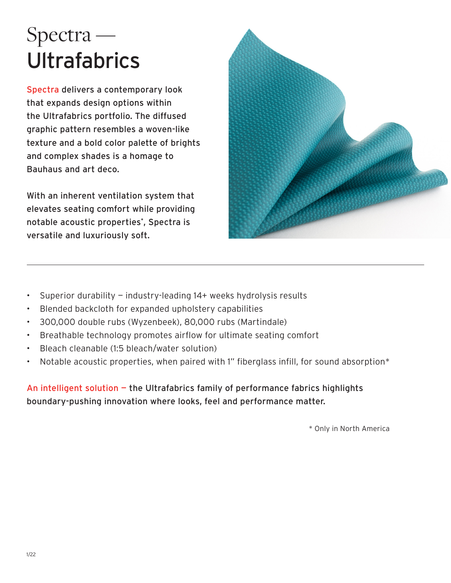# Spectra — Ultrafabrics

Spectra delivers a contemporary look that expands design options within the Ultrafabrics portfolio. The diffused graphic pattern resembles a woven-like texture and a bold color palette of brights and complex shades is a homage to Bauhaus and art deco.

With an inherent ventilation system that elevates seating comfort while providing notable acoustic properties\* , Spectra is versatile and luxuriously soft.



- Superior durability industry-leading 14+ weeks hydrolysis results
- Blended backcloth for expanded upholstery capabilities
- 300,000 double rubs (Wyzenbeek), 80,000 rubs (Martindale)
- Breathable technology promotes airflow for ultimate seating comfort
- Bleach cleanable (1:5 bleach/water solution)
- Notable acoustic properties, when paired with 1" fiberglass infill, for sound absorption\*

An intelligent solution — the Ultrafabrics family of performance fabrics highlights boundary-pushing innovation where looks, feel and performance matter.

\* Only in North America